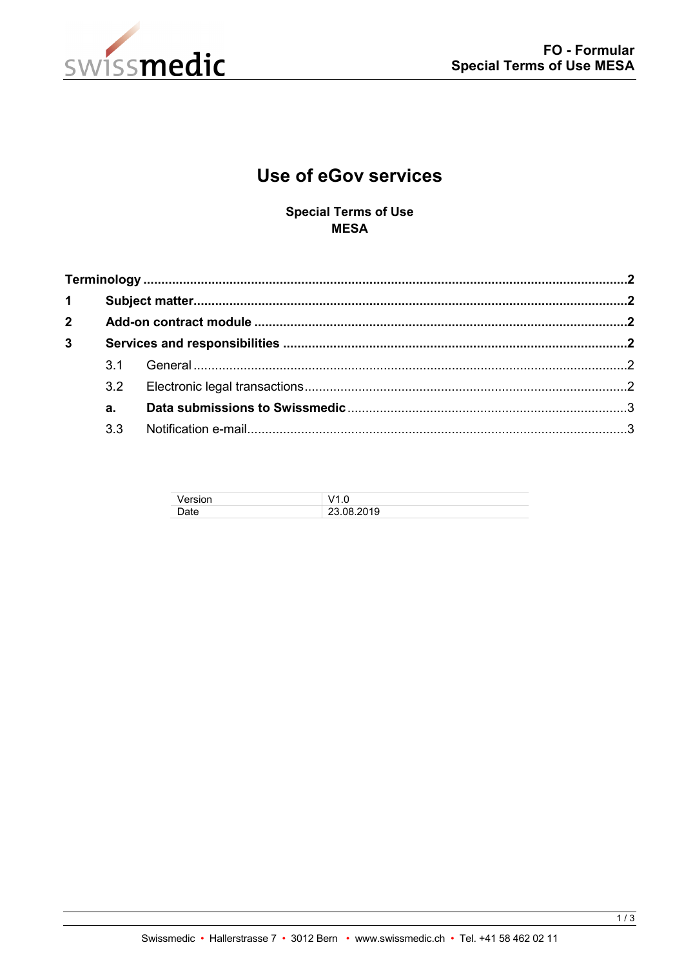

# **Use of eGov services**

**Special Terms of Use MESA** 

| $2^{\circ}$    |     |  |  |
|----------------|-----|--|--|
| $\overline{3}$ |     |  |  |
|                |     |  |  |
|                | 3.2 |  |  |
|                | а.  |  |  |
|                | 3.3 |  |  |

| 'ersion |                           |
|---------|---------------------------|
| าate    | 08.2019<br>ו ניני<br>20.V |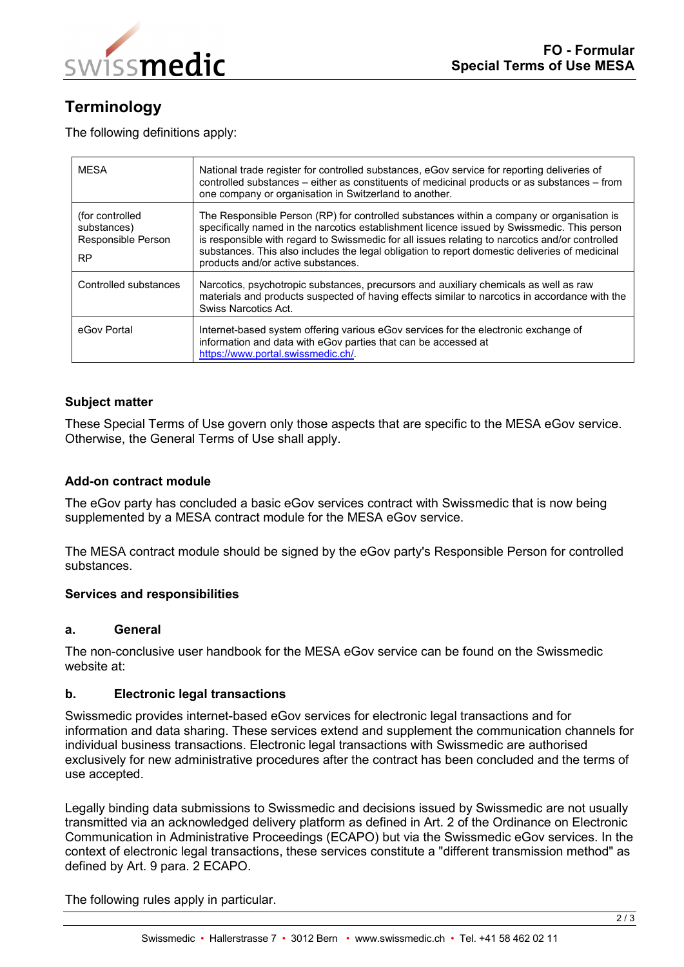

# <span id="page-1-0"></span>**Terminology**

The following definitions apply:

| <b>MFSA</b>                                                       | National trade register for controlled substances, eGov service for reporting deliveries of<br>controlled substances – either as constituents of medicinal products or as substances – from<br>one company or organisation in Switzerland to another.                                                                                                                                                                               |
|-------------------------------------------------------------------|-------------------------------------------------------------------------------------------------------------------------------------------------------------------------------------------------------------------------------------------------------------------------------------------------------------------------------------------------------------------------------------------------------------------------------------|
| (for controlled<br>substances)<br>Responsible Person<br><b>RP</b> | The Responsible Person (RP) for controlled substances within a company or organisation is<br>specifically named in the narcotics establishment licence issued by Swissmedic. This person<br>is responsible with regard to Swissmedic for all issues relating to narcotics and/or controlled<br>substances. This also includes the legal obligation to report domestic deliveries of medicinal<br>products and/or active substances. |
| Controlled substances                                             | Narcotics, psychotropic substances, precursors and auxiliary chemicals as well as raw<br>materials and products suspected of having effects similar to narcotics in accordance with the<br>Swiss Narcotics Act.                                                                                                                                                                                                                     |
| eGov Portal                                                       | Internet-based system offering various eGov services for the electronic exchange of<br>information and data with eGov parties that can be accessed at<br>https://www.portal.swissmedic.ch/.                                                                                                                                                                                                                                         |

# <span id="page-1-1"></span>**Subject matter**

These Special Terms of Use govern only those aspects that are specific to the MESA eGov service. Otherwise, the General Terms of Use shall apply.

# <span id="page-1-2"></span>**Add-on contract module**

The eGov party has concluded a basic eGov services contract with Swissmedic that is now being supplemented by a MESA contract module for the MESA eGov service.

The MESA contract module should be signed by the eGov party's Responsible Person for controlled substances.

#### <span id="page-1-3"></span>**Services and responsibilities**

#### <span id="page-1-4"></span>**a. General**

The non-conclusive user handbook for the MESA eGov service can be found on the Swissmedic website at:

# <span id="page-1-5"></span>**b. Electronic legal transactions**

Swissmedic provides internet-based eGov services for electronic legal transactions and for information and data sharing. These services extend and supplement the communication channels for individual business transactions. Electronic legal transactions with Swissmedic are authorised exclusively for new administrative procedures after the contract has been concluded and the terms of use accepted.

Legally binding data submissions to Swissmedic and decisions issued by Swissmedic are not usually transmitted via an acknowledged delivery platform as defined in Art. 2 of the Ordinance on Electronic Communication in Administrative Proceedings (ECAPO) but via the Swissmedic eGov services. In the context of electronic legal transactions, these services constitute a "different transmission method" as defined by Art. 9 para. 2 ECAPO.

The following rules apply in particular.